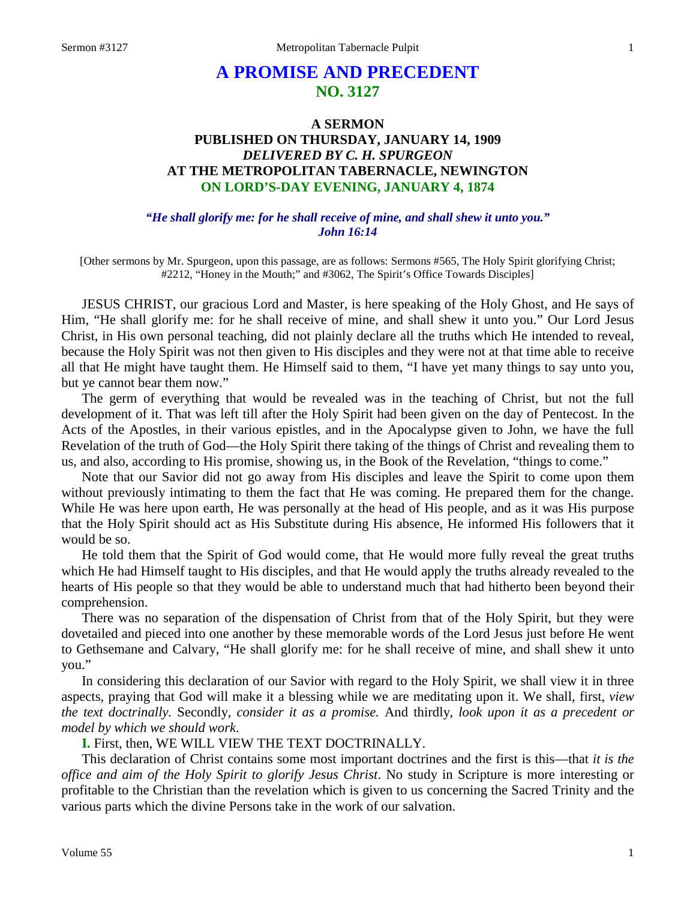# **A PROMISE AND PRECEDENT NO. 3127**

## **A SERMON PUBLISHED ON THURSDAY, JANUARY 14, 1909** *DELIVERED BY C. H. SPURGEON* **AT THE METROPOLITAN TABERNACLE, NEWINGTON ON LORD'S-DAY EVENING, JANUARY 4, 1874**

#### *"He shall glorify me: for he shall receive of mine, and shall shew it unto you." John 16:14*

[Other sermons by Mr. Spurgeon, upon this passage, are as follows: Sermons #565, The Holy Spirit glorifying Christ; #2212, "Honey in the Mouth;" and #3062, The Spirit's Office Towards Disciples]

JESUS CHRIST, our gracious Lord and Master, is here speaking of the Holy Ghost, and He says of Him, "He shall glorify me: for he shall receive of mine, and shall shew it unto you." Our Lord Jesus Christ, in His own personal teaching, did not plainly declare all the truths which He intended to reveal, because the Holy Spirit was not then given to His disciples and they were not at that time able to receive all that He might have taught them. He Himself said to them, "I have yet many things to say unto you, but ye cannot bear them now."

The germ of everything that would be revealed was in the teaching of Christ, but not the full development of it. That was left till after the Holy Spirit had been given on the day of Pentecost. In the Acts of the Apostles, in their various epistles, and in the Apocalypse given to John, we have the full Revelation of the truth of God—the Holy Spirit there taking of the things of Christ and revealing them to us, and also, according to His promise, showing us, in the Book of the Revelation, "things to come."

Note that our Savior did not go away from His disciples and leave the Spirit to come upon them without previously intimating to them the fact that He was coming. He prepared them for the change. While He was here upon earth, He was personally at the head of His people, and as it was His purpose that the Holy Spirit should act as His Substitute during His absence, He informed His followers that it would be so.

He told them that the Spirit of God would come, that He would more fully reveal the great truths which He had Himself taught to His disciples, and that He would apply the truths already revealed to the hearts of His people so that they would be able to understand much that had hitherto been beyond their comprehension.

There was no separation of the dispensation of Christ from that of the Holy Spirit, but they were dovetailed and pieced into one another by these memorable words of the Lord Jesus just before He went to Gethsemane and Calvary, "He shall glorify me: for he shall receive of mine, and shall shew it unto you."

In considering this declaration of our Savior with regard to the Holy Spirit, we shall view it in three aspects, praying that God will make it a blessing while we are meditating upon it. We shall, first, *view the text doctrinally.* Secondly, *consider it as a promise.* And thirdly, *look upon it as a precedent or model by which we should work*.

**I.** First, then, WE WILL VIEW THE TEXT DOCTRINALLY.

This declaration of Christ contains some most important doctrines and the first is this—that *it is the office and aim of the Holy Spirit to glorify Jesus Christ*. No study in Scripture is more interesting or profitable to the Christian than the revelation which is given to us concerning the Sacred Trinity and the various parts which the divine Persons take in the work of our salvation.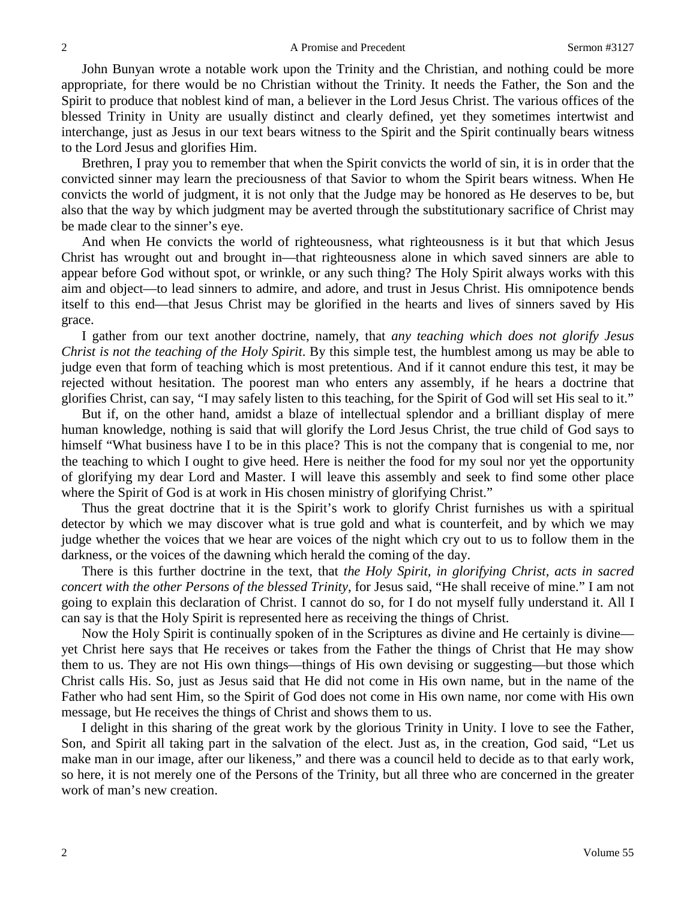John Bunyan wrote a notable work upon the Trinity and the Christian, and nothing could be more appropriate, for there would be no Christian without the Trinity. It needs the Father, the Son and the Spirit to produce that noblest kind of man, a believer in the Lord Jesus Christ. The various offices of the blessed Trinity in Unity are usually distinct and clearly defined, yet they sometimes intertwist and interchange, just as Jesus in our text bears witness to the Spirit and the Spirit continually bears witness to the Lord Jesus and glorifies Him.

Brethren, I pray you to remember that when the Spirit convicts the world of sin, it is in order that the convicted sinner may learn the preciousness of that Savior to whom the Spirit bears witness. When He convicts the world of judgment, it is not only that the Judge may be honored as He deserves to be, but also that the way by which judgment may be averted through the substitutionary sacrifice of Christ may be made clear to the sinner's eye.

And when He convicts the world of righteousness, what righteousness is it but that which Jesus Christ has wrought out and brought in—that righteousness alone in which saved sinners are able to appear before God without spot, or wrinkle, or any such thing? The Holy Spirit always works with this aim and object—to lead sinners to admire, and adore, and trust in Jesus Christ. His omnipotence bends itself to this end—that Jesus Christ may be glorified in the hearts and lives of sinners saved by His grace.

I gather from our text another doctrine, namely, that *any teaching which does not glorify Jesus Christ is not the teaching of the Holy Spirit*. By this simple test, the humblest among us may be able to judge even that form of teaching which is most pretentious. And if it cannot endure this test, it may be rejected without hesitation. The poorest man who enters any assembly, if he hears a doctrine that glorifies Christ, can say, "I may safely listen to this teaching, for the Spirit of God will set His seal to it."

But if, on the other hand, amidst a blaze of intellectual splendor and a brilliant display of mere human knowledge, nothing is said that will glorify the Lord Jesus Christ, the true child of God says to himself "What business have I to be in this place? This is not the company that is congenial to me, nor the teaching to which I ought to give heed. Here is neither the food for my soul nor yet the opportunity of glorifying my dear Lord and Master. I will leave this assembly and seek to find some other place where the Spirit of God is at work in His chosen ministry of glorifying Christ."

Thus the great doctrine that it is the Spirit's work to glorify Christ furnishes us with a spiritual detector by which we may discover what is true gold and what is counterfeit, and by which we may judge whether the voices that we hear are voices of the night which cry out to us to follow them in the darkness, or the voices of the dawning which herald the coming of the day.

There is this further doctrine in the text, that *the Holy Spirit, in glorifying Christ, acts in sacred concert with the other Persons of the blessed Trinity*, for Jesus said, "He shall receive of mine." I am not going to explain this declaration of Christ. I cannot do so, for I do not myself fully understand it. All I can say is that the Holy Spirit is represented here as receiving the things of Christ.

Now the Holy Spirit is continually spoken of in the Scriptures as divine and He certainly is divine yet Christ here says that He receives or takes from the Father the things of Christ that He may show them to us. They are not His own things—things of His own devising or suggesting—but those which Christ calls His. So, just as Jesus said that He did not come in His own name, but in the name of the Father who had sent Him, so the Spirit of God does not come in His own name, nor come with His own message, but He receives the things of Christ and shows them to us.

I delight in this sharing of the great work by the glorious Trinity in Unity. I love to see the Father, Son, and Spirit all taking part in the salvation of the elect. Just as, in the creation, God said, "Let us make man in our image, after our likeness," and there was a council held to decide as to that early work, so here, it is not merely one of the Persons of the Trinity, but all three who are concerned in the greater work of man's new creation.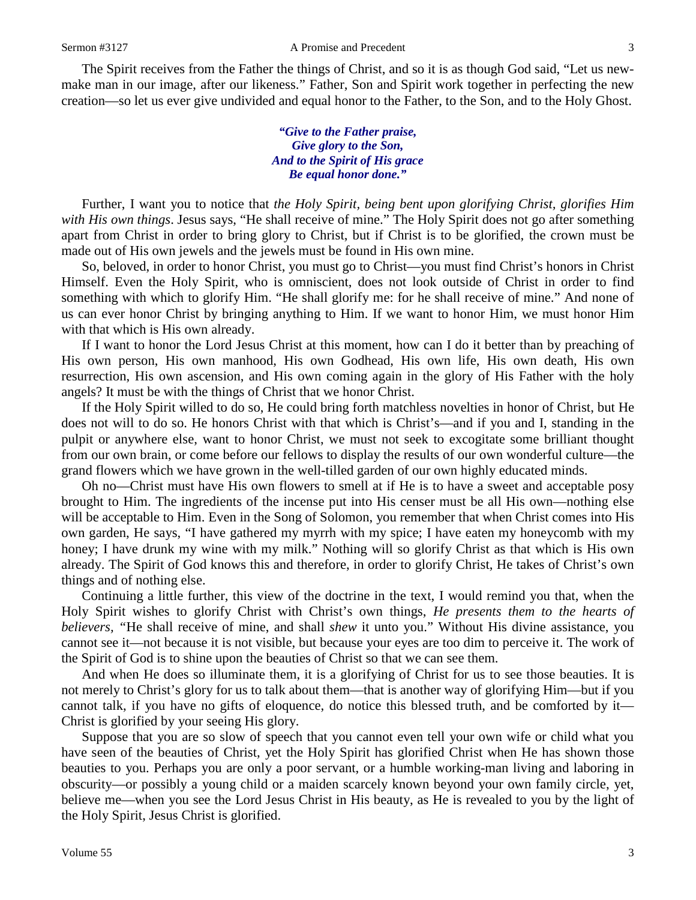The Spirit receives from the Father the things of Christ, and so it is as though God said, "Let us newmake man in our image, after our likeness." Father, Son and Spirit work together in perfecting the new creation—so let us ever give undivided and equal honor to the Father, to the Son, and to the Holy Ghost.

### *"Give to the Father praise, Give glory to the Son, And to the Spirit of His grace Be equal honor done."*

Further, I want you to notice that *the Holy Spirit, being bent upon glorifying Christ, glorifies Him with His own things*. Jesus says, "He shall receive of mine." The Holy Spirit does not go after something apart from Christ in order to bring glory to Christ, but if Christ is to be glorified, the crown must be made out of His own jewels and the jewels must be found in His own mine.

So, beloved, in order to honor Christ, you must go to Christ—you must find Christ's honors in Christ Himself. Even the Holy Spirit, who is omniscient, does not look outside of Christ in order to find something with which to glorify Him. "He shall glorify me: for he shall receive of mine." And none of us can ever honor Christ by bringing anything to Him. If we want to honor Him, we must honor Him with that which is His own already.

If I want to honor the Lord Jesus Christ at this moment, how can I do it better than by preaching of His own person, His own manhood, His own Godhead, His own life, His own death, His own resurrection, His own ascension, and His own coming again in the glory of His Father with the holy angels? It must be with the things of Christ that we honor Christ.

If the Holy Spirit willed to do so, He could bring forth matchless novelties in honor of Christ, but He does not will to do so. He honors Christ with that which is Christ's—and if you and I, standing in the pulpit or anywhere else, want to honor Christ, we must not seek to excogitate some brilliant thought from our own brain, or come before our fellows to display the results of our own wonderful culture—the grand flowers which we have grown in the well-tilled garden of our own highly educated minds.

Oh no—Christ must have His own flowers to smell at if He is to have a sweet and acceptable posy brought to Him. The ingredients of the incense put into His censer must be all His own—nothing else will be acceptable to Him. Even in the Song of Solomon, you remember that when Christ comes into His own garden, He says, "I have gathered my myrrh with my spice; I have eaten my honeycomb with my honey; I have drunk my wine with my milk." Nothing will so glorify Christ as that which is His own already. The Spirit of God knows this and therefore, in order to glorify Christ, He takes of Christ's own things and of nothing else.

Continuing a little further, this view of the doctrine in the text, I would remind you that, when the Holy Spirit wishes to glorify Christ with Christ's own things, *He presents them to the hearts of believers, "*He shall receive of mine, and shall *shew* it unto you." Without His divine assistance, you cannot see it—not because it is not visible, but because your eyes are too dim to perceive it. The work of the Spirit of God is to shine upon the beauties of Christ so that we can see them.

And when He does so illuminate them, it is a glorifying of Christ for us to see those beauties. It is not merely to Christ's glory for us to talk about them—that is another way of glorifying Him—but if you cannot talk, if you have no gifts of eloquence, do notice this blessed truth, and be comforted by it— Christ is glorified by your seeing His glory.

Suppose that you are so slow of speech that you cannot even tell your own wife or child what you have seen of the beauties of Christ, yet the Holy Spirit has glorified Christ when He has shown those beauties to you. Perhaps you are only a poor servant, or a humble working-man living and laboring in obscurity—or possibly a young child or a maiden scarcely known beyond your own family circle, yet, believe me—when you see the Lord Jesus Christ in His beauty, as He is revealed to you by the light of the Holy Spirit, Jesus Christ is glorified.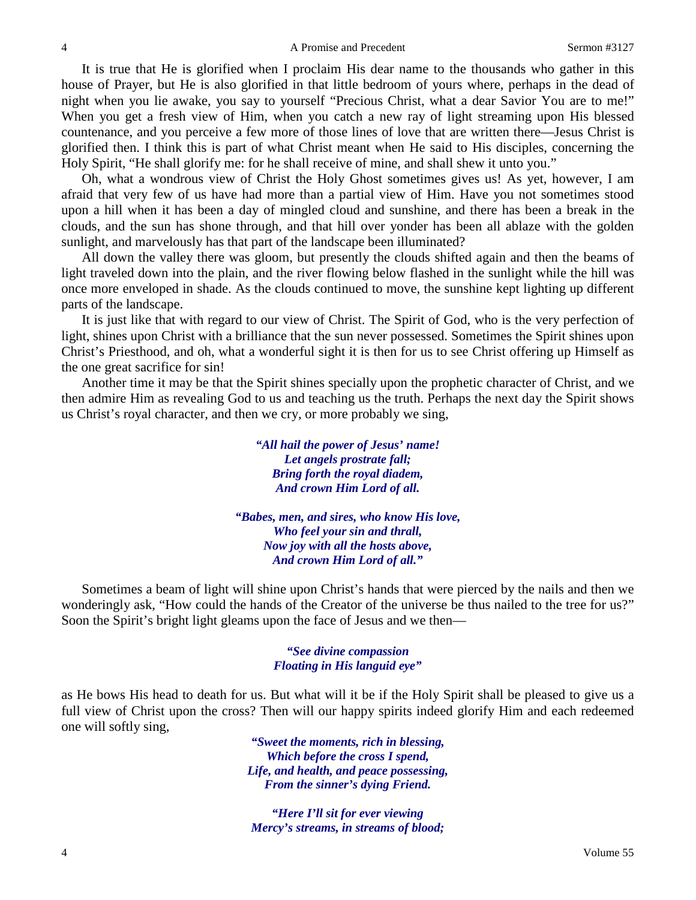It is true that He is glorified when I proclaim His dear name to the thousands who gather in this house of Prayer, but He is also glorified in that little bedroom of yours where, perhaps in the dead of night when you lie awake, you say to yourself "Precious Christ, what a dear Savior You are to me!" When you get a fresh view of Him, when you catch a new ray of light streaming upon His blessed countenance, and you perceive a few more of those lines of love that are written there—Jesus Christ is glorified then. I think this is part of what Christ meant when He said to His disciples, concerning the Holy Spirit, "He shall glorify me: for he shall receive of mine, and shall shew it unto you."

Oh, what a wondrous view of Christ the Holy Ghost sometimes gives us! As yet, however, I am afraid that very few of us have had more than a partial view of Him. Have you not sometimes stood upon a hill when it has been a day of mingled cloud and sunshine, and there has been a break in the clouds, and the sun has shone through, and that hill over yonder has been all ablaze with the golden sunlight, and marvelously has that part of the landscape been illuminated?

All down the valley there was gloom, but presently the clouds shifted again and then the beams of light traveled down into the plain, and the river flowing below flashed in the sunlight while the hill was once more enveloped in shade. As the clouds continued to move, the sunshine kept lighting up different parts of the landscape.

It is just like that with regard to our view of Christ. The Spirit of God, who is the very perfection of light, shines upon Christ with a brilliance that the sun never possessed. Sometimes the Spirit shines upon Christ's Priesthood, and oh, what a wonderful sight it is then for us to see Christ offering up Himself as the one great sacrifice for sin!

Another time it may be that the Spirit shines specially upon the prophetic character of Christ, and we then admire Him as revealing God to us and teaching us the truth. Perhaps the next day the Spirit shows us Christ's royal character, and then we cry, or more probably we sing,

> *"All hail the power of Jesus' name! Let angels prostrate fall; Bring forth the royal diadem, And crown Him Lord of all.*

*"Babes, men, and sires, who know His love, Who feel your sin and thrall, Now joy with all the hosts above, And crown Him Lord of all."*

Sometimes a beam of light will shine upon Christ's hands that were pierced by the nails and then we wonderingly ask, "How could the hands of the Creator of the universe be thus nailed to the tree for us?" Soon the Spirit's bright light gleams upon the face of Jesus and we then—

#### *"See divine compassion Floating in His languid eye"*

as He bows His head to death for us. But what will it be if the Holy Spirit shall be pleased to give us a full view of Christ upon the cross? Then will our happy spirits indeed glorify Him and each redeemed one will softly sing,

> *"Sweet the moments, rich in blessing, Which before the cross I spend, Life, and health, and peace possessing, From the sinner's dying Friend.*

*"Here I'll sit for ever viewing Mercy's streams, in streams of blood;*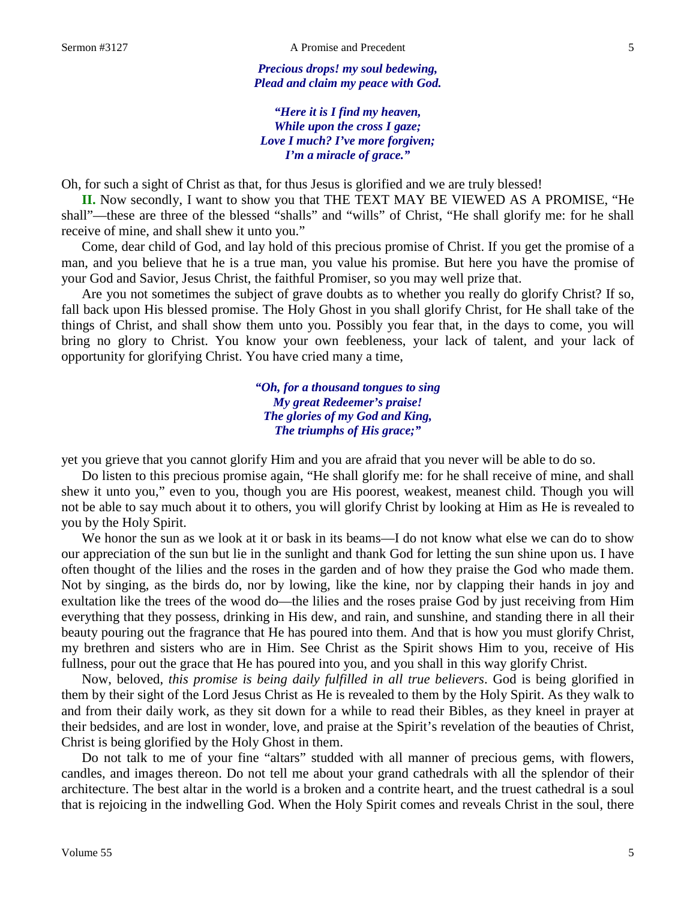*Precious drops! my soul bedewing, Plead and claim my peace with God.*

*"Here it is I find my heaven, While upon the cross I gaze; Love I much? I've more forgiven; I'm a miracle of grace."*

Oh, for such a sight of Christ as that, for thus Jesus is glorified and we are truly blessed!

**II.** Now secondly, I want to show you that THE TEXT MAY BE VIEWED AS A PROMISE, "He shall"—these are three of the blessed "shalls" and "wills" of Christ, "He shall glorify me: for he shall receive of mine, and shall shew it unto you."

Come, dear child of God, and lay hold of this precious promise of Christ. If you get the promise of a man, and you believe that he is a true man, you value his promise. But here you have the promise of your God and Savior, Jesus Christ, the faithful Promiser, so you may well prize that.

Are you not sometimes the subject of grave doubts as to whether you really do glorify Christ? If so, fall back upon His blessed promise. The Holy Ghost in you shall glorify Christ, for He shall take of the things of Christ, and shall show them unto you. Possibly you fear that, in the days to come, you will bring no glory to Christ. You know your own feebleness, your lack of talent, and your lack of opportunity for glorifying Christ. You have cried many a time,

> *"Oh, for a thousand tongues to sing My great Redeemer's praise! The glories of my God and King, The triumphs of His grace;"*

yet you grieve that you cannot glorify Him and you are afraid that you never will be able to do so.

Do listen to this precious promise again, "He shall glorify me: for he shall receive of mine, and shall shew it unto you," even to you, though you are His poorest, weakest, meanest child. Though you will not be able to say much about it to others, you will glorify Christ by looking at Him as He is revealed to you by the Holy Spirit.

We honor the sun as we look at it or bask in its beams—I do not know what else we can do to show our appreciation of the sun but lie in the sunlight and thank God for letting the sun shine upon us. I have often thought of the lilies and the roses in the garden and of how they praise the God who made them. Not by singing, as the birds do, nor by lowing, like the kine, nor by clapping their hands in joy and exultation like the trees of the wood do—the lilies and the roses praise God by just receiving from Him everything that they possess, drinking in His dew, and rain, and sunshine, and standing there in all their beauty pouring out the fragrance that He has poured into them. And that is how you must glorify Christ, my brethren and sisters who are in Him. See Christ as the Spirit shows Him to you, receive of His fullness, pour out the grace that He has poured into you, and you shall in this way glorify Christ.

Now, beloved, *this promise is being daily fulfilled in all true believers*. God is being glorified in them by their sight of the Lord Jesus Christ as He is revealed to them by the Holy Spirit. As they walk to and from their daily work, as they sit down for a while to read their Bibles, as they kneel in prayer at their bedsides, and are lost in wonder, love, and praise at the Spirit's revelation of the beauties of Christ, Christ is being glorified by the Holy Ghost in them.

Do not talk to me of your fine "altars" studded with all manner of precious gems, with flowers, candles, and images thereon. Do not tell me about your grand cathedrals with all the splendor of their architecture. The best altar in the world is a broken and a contrite heart, and the truest cathedral is a soul that is rejoicing in the indwelling God. When the Holy Spirit comes and reveals Christ in the soul, there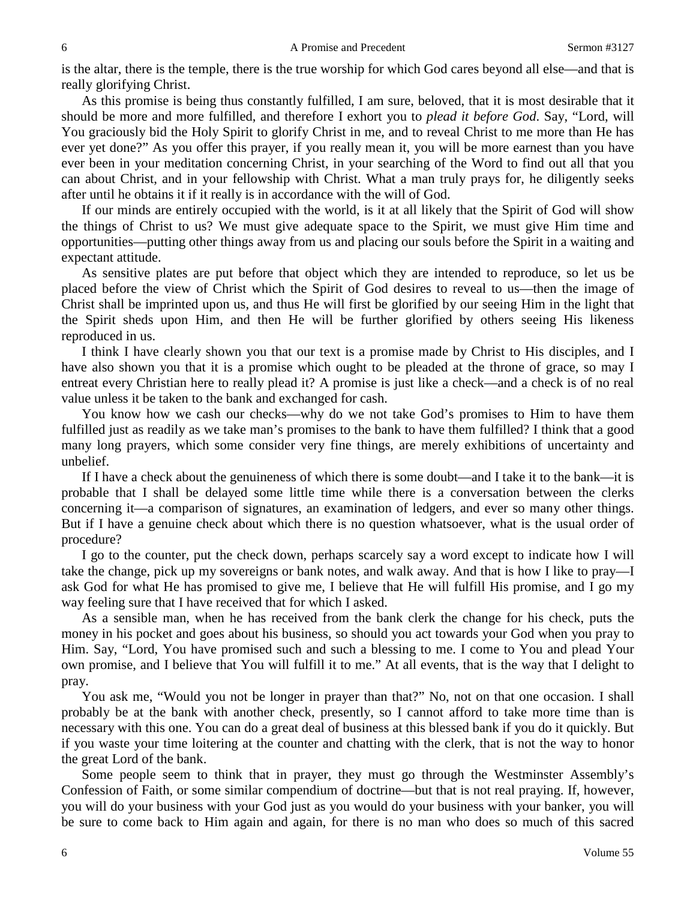is the altar, there is the temple, there is the true worship for which God cares beyond all else—and that is really glorifying Christ.

As this promise is being thus constantly fulfilled, I am sure, beloved, that it is most desirable that it should be more and more fulfilled, and therefore I exhort you to *plead it before God*. Say, "Lord, will You graciously bid the Holy Spirit to glorify Christ in me, and to reveal Christ to me more than He has ever yet done?" As you offer this prayer, if you really mean it, you will be more earnest than you have ever been in your meditation concerning Christ, in your searching of the Word to find out all that you can about Christ, and in your fellowship with Christ. What a man truly prays for, he diligently seeks after until he obtains it if it really is in accordance with the will of God.

If our minds are entirely occupied with the world, is it at all likely that the Spirit of God will show the things of Christ to us? We must give adequate space to the Spirit, we must give Him time and opportunities—putting other things away from us and placing our souls before the Spirit in a waiting and expectant attitude.

As sensitive plates are put before that object which they are intended to reproduce, so let us be placed before the view of Christ which the Spirit of God desires to reveal to us—then the image of Christ shall be imprinted upon us, and thus He will first be glorified by our seeing Him in the light that the Spirit sheds upon Him, and then He will be further glorified by others seeing His likeness reproduced in us.

I think I have clearly shown you that our text is a promise made by Christ to His disciples, and I have also shown you that it is a promise which ought to be pleaded at the throne of grace, so may I entreat every Christian here to really plead it? A promise is just like a check—and a check is of no real value unless it be taken to the bank and exchanged for cash.

You know how we cash our checks—why do we not take God's promises to Him to have them fulfilled just as readily as we take man's promises to the bank to have them fulfilled? I think that a good many long prayers, which some consider very fine things, are merely exhibitions of uncertainty and unbelief.

If I have a check about the genuineness of which there is some doubt—and I take it to the bank—it is probable that I shall be delayed some little time while there is a conversation between the clerks concerning it—a comparison of signatures, an examination of ledgers, and ever so many other things. But if I have a genuine check about which there is no question whatsoever, what is the usual order of procedure?

I go to the counter, put the check down, perhaps scarcely say a word except to indicate how I will take the change, pick up my sovereigns or bank notes, and walk away. And that is how I like to pray—I ask God for what He has promised to give me, I believe that He will fulfill His promise, and I go my way feeling sure that I have received that for which I asked.

As a sensible man, when he has received from the bank clerk the change for his check, puts the money in his pocket and goes about his business, so should you act towards your God when you pray to Him. Say, "Lord, You have promised such and such a blessing to me. I come to You and plead Your own promise, and I believe that You will fulfill it to me." At all events, that is the way that I delight to pray.

You ask me, "Would you not be longer in prayer than that?" No, not on that one occasion. I shall probably be at the bank with another check, presently, so I cannot afford to take more time than is necessary with this one. You can do a great deal of business at this blessed bank if you do it quickly. But if you waste your time loitering at the counter and chatting with the clerk, that is not the way to honor the great Lord of the bank.

Some people seem to think that in prayer, they must go through the Westminster Assembly's Confession of Faith, or some similar compendium of doctrine—but that is not real praying. If, however, you will do your business with your God just as you would do your business with your banker, you will be sure to come back to Him again and again, for there is no man who does so much of this sacred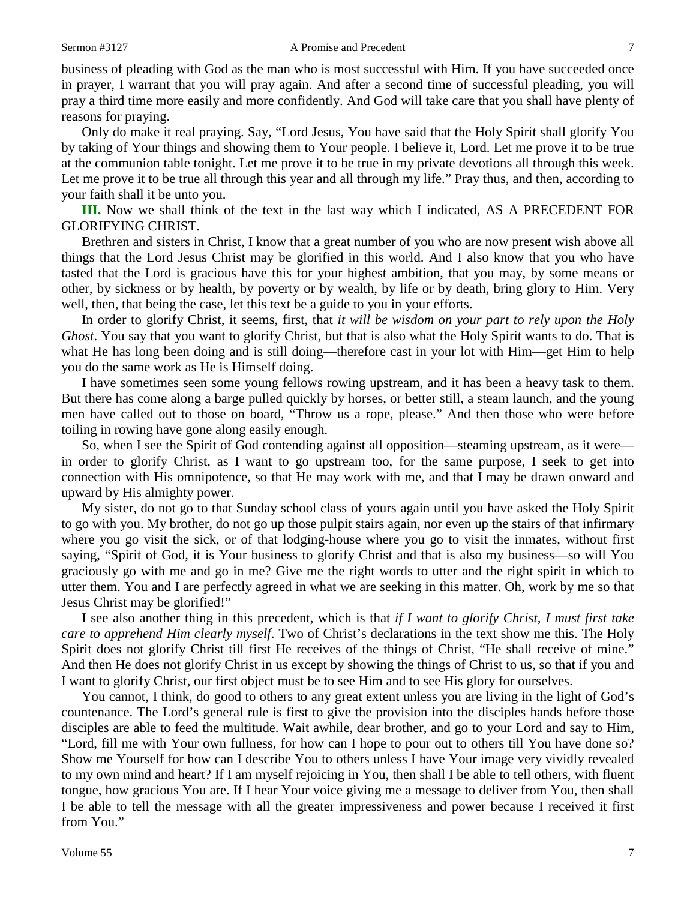business of pleading with God as the man who is most successful with Him. If you have succeeded once in prayer, I warrant that you will pray again. And after a second time of successful pleading, you will pray a third time more easily and more confidently. And God will take care that you shall have plenty of reasons for praying.

Only do make it real praying. Say, "Lord Jesus, You have said that the Holy Spirit shall glorify You by taking of Your things and showing them to Your people. I believe it, Lord. Let me prove it to be true at the communion table tonight. Let me prove it to be true in my private devotions all through this week. Let me prove it to be true all through this year and all through my life." Pray thus, and then, according to your faith shall it be unto you.

**III.** Now we shall think of the text in the last way which I indicated, AS A PRECEDENT FOR GLORIFYING CHRIST.

Brethren and sisters in Christ, I know that a great number of you who are now present wish above all things that the Lord Jesus Christ may be glorified in this world. And I also know that you who have tasted that the Lord is gracious have this for your highest ambition, that you may, by some means or other, by sickness or by health, by poverty or by wealth, by life or by death, bring glory to Him. Very well, then, that being the case, let this text be a guide to you in your efforts.

In order to glorify Christ, it seems, first, that *it will be wisdom on your part to rely upon the Holy Ghost*. You say that you want to glorify Christ, but that is also what the Holy Spirit wants to do. That is what He has long been doing and is still doing—therefore cast in your lot with Him—get Him to help you do the same work as He is Himself doing.

I have sometimes seen some young fellows rowing upstream, and it has been a heavy task to them. But there has come along a barge pulled quickly by horses, or better still, a steam launch, and the young men have called out to those on board, "Throw us a rope, please." And then those who were before toiling in rowing have gone along easily enough.

So, when I see the Spirit of God contending against all opposition—steaming upstream, as it were in order to glorify Christ, as I want to go upstream too, for the same purpose, I seek to get into connection with His omnipotence, so that He may work with me, and that I may be drawn onward and upward by His almighty power.

My sister, do not go to that Sunday school class of yours again until you have asked the Holy Spirit to go with you. My brother, do not go up those pulpit stairs again, nor even up the stairs of that infirmary where you go visit the sick, or of that lodging-house where you go to visit the inmates, without first saying, "Spirit of God, it is Your business to glorify Christ and that is also my business—so will You graciously go with me and go in me? Give me the right words to utter and the right spirit in which to utter them. You and I are perfectly agreed in what we are seeking in this matter. Oh, work by me so that Jesus Christ may be glorified!"

I see also another thing in this precedent, which is that *if I want to glorify Christ, I must first take care to apprehend Him clearly myself*. Two of Christ's declarations in the text show me this. The Holy Spirit does not glorify Christ till first He receives of the things of Christ, "He shall receive of mine." And then He does not glorify Christ in us except by showing the things of Christ to us, so that if you and I want to glorify Christ, our first object must be to see Him and to see His glory for ourselves.

You cannot, I think, do good to others to any great extent unless you are living in the light of God's countenance. The Lord's general rule is first to give the provision into the disciples hands before those disciples are able to feed the multitude. Wait awhile, dear brother, and go to your Lord and say to Him, "Lord, fill me with Your own fullness, for how can I hope to pour out to others till You have done so? Show me Yourself for how can I describe You to others unless I have Your image very vividly revealed to my own mind and heart? If I am myself rejoicing in You, then shall I be able to tell others, with fluent tongue, how gracious You are. If I hear Your voice giving me a message to deliver from You, then shall I be able to tell the message with all the greater impressiveness and power because I received it first from You."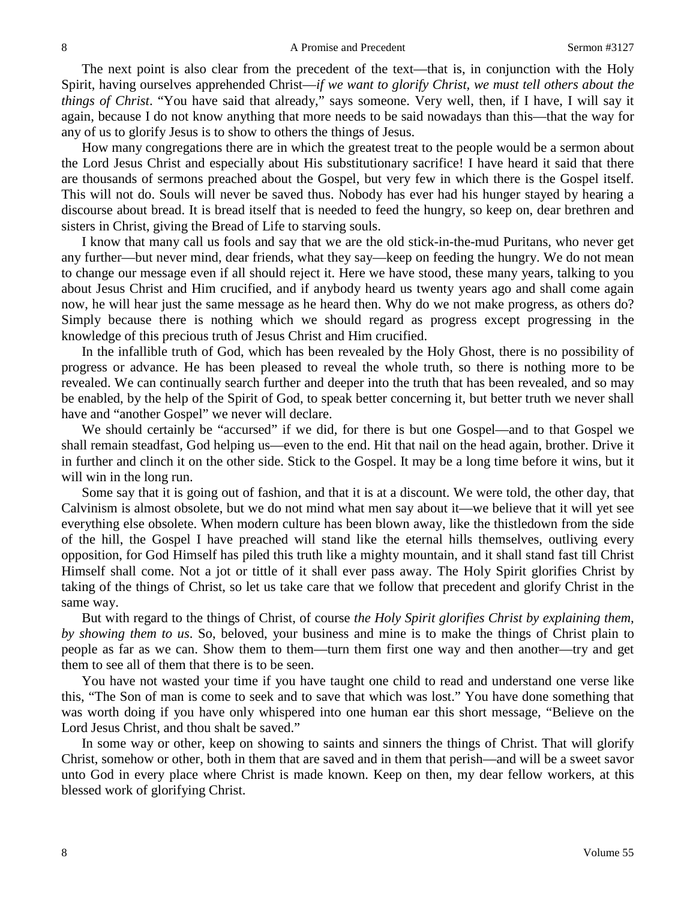The next point is also clear from the precedent of the text—that is, in conjunction with the Holy Spirit, having ourselves apprehended Christ—*if we want to glorify Christ, we must tell others about the things of Christ*. "You have said that already," says someone. Very well, then, if I have, I will say it again, because I do not know anything that more needs to be said nowadays than this—that the way for any of us to glorify Jesus is to show to others the things of Jesus.

How many congregations there are in which the greatest treat to the people would be a sermon about the Lord Jesus Christ and especially about His substitutionary sacrifice! I have heard it said that there are thousands of sermons preached about the Gospel, but very few in which there is the Gospel itself. This will not do. Souls will never be saved thus. Nobody has ever had his hunger stayed by hearing a discourse about bread. It is bread itself that is needed to feed the hungry, so keep on, dear brethren and sisters in Christ, giving the Bread of Life to starving souls.

I know that many call us fools and say that we are the old stick-in-the-mud Puritans, who never get any further—but never mind, dear friends, what they say—keep on feeding the hungry. We do not mean to change our message even if all should reject it. Here we have stood, these many years, talking to you about Jesus Christ and Him crucified, and if anybody heard us twenty years ago and shall come again now, he will hear just the same message as he heard then. Why do we not make progress, as others do? Simply because there is nothing which we should regard as progress except progressing in the knowledge of this precious truth of Jesus Christ and Him crucified.

In the infallible truth of God, which has been revealed by the Holy Ghost, there is no possibility of progress or advance. He has been pleased to reveal the whole truth, so there is nothing more to be revealed. We can continually search further and deeper into the truth that has been revealed, and so may be enabled, by the help of the Spirit of God, to speak better concerning it, but better truth we never shall have and "another Gospel" we never will declare.

We should certainly be "accursed" if we did, for there is but one Gospel—and to that Gospel we shall remain steadfast, God helping us—even to the end. Hit that nail on the head again, brother. Drive it in further and clinch it on the other side. Stick to the Gospel. It may be a long time before it wins, but it will win in the long run.

Some say that it is going out of fashion, and that it is at a discount. We were told, the other day, that Calvinism is almost obsolete, but we do not mind what men say about it—we believe that it will yet see everything else obsolete. When modern culture has been blown away, like the thistledown from the side of the hill, the Gospel I have preached will stand like the eternal hills themselves, outliving every opposition, for God Himself has piled this truth like a mighty mountain, and it shall stand fast till Christ Himself shall come. Not a jot or tittle of it shall ever pass away. The Holy Spirit glorifies Christ by taking of the things of Christ, so let us take care that we follow that precedent and glorify Christ in the same way.

But with regard to the things of Christ, of course *the Holy Spirit glorifies Christ by explaining them, by showing them to us*. So, beloved, your business and mine is to make the things of Christ plain to people as far as we can. Show them to them—turn them first one way and then another—try and get them to see all of them that there is to be seen.

You have not wasted your time if you have taught one child to read and understand one verse like this, "The Son of man is come to seek and to save that which was lost." You have done something that was worth doing if you have only whispered into one human ear this short message, "Believe on the Lord Jesus Christ, and thou shalt be saved."

In some way or other, keep on showing to saints and sinners the things of Christ. That will glorify Christ, somehow or other, both in them that are saved and in them that perish—and will be a sweet savor unto God in every place where Christ is made known. Keep on then, my dear fellow workers, at this blessed work of glorifying Christ.